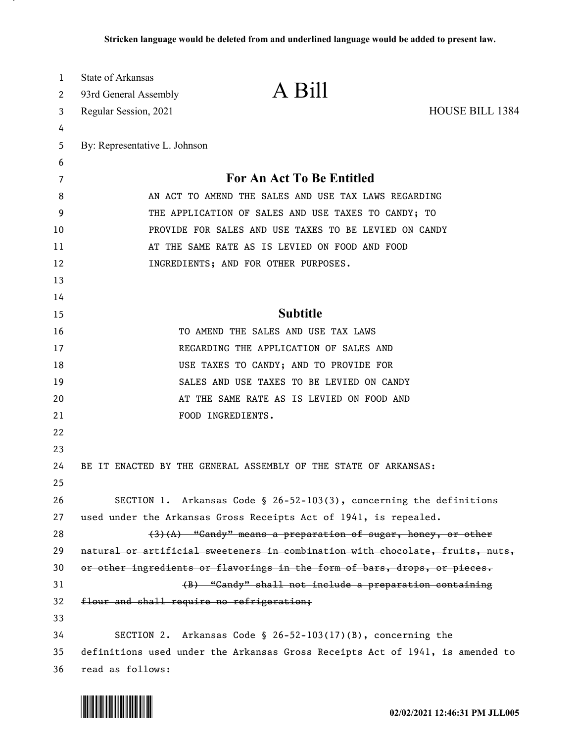| 1  | State of Arkansas                                                             |                                                                     |                        |
|----|-------------------------------------------------------------------------------|---------------------------------------------------------------------|------------------------|
| 2  | 93rd General Assembly                                                         | A Bill                                                              |                        |
| 3  | Regular Session, 2021                                                         |                                                                     | <b>HOUSE BILL 1384</b> |
| 4  |                                                                               |                                                                     |                        |
| 5  | By: Representative L. Johnson                                                 |                                                                     |                        |
| 6  |                                                                               |                                                                     |                        |
| 7  | For An Act To Be Entitled                                                     |                                                                     |                        |
| 8  | AN ACT TO AMEND THE SALES AND USE TAX LAWS REGARDING                          |                                                                     |                        |
| 9  | THE APPLICATION OF SALES AND USE TAXES TO CANDY; TO                           |                                                                     |                        |
| 10 | PROVIDE FOR SALES AND USE TAXES TO BE LEVIED ON CANDY                         |                                                                     |                        |
| 11 | AT THE SAME RATE AS IS LEVIED ON FOOD AND FOOD                                |                                                                     |                        |
| 12 |                                                                               | INGREDIENTS; AND FOR OTHER PURPOSES.                                |                        |
| 13 |                                                                               |                                                                     |                        |
| 14 |                                                                               |                                                                     |                        |
| 15 | <b>Subtitle</b>                                                               |                                                                     |                        |
| 16 | TO AMEND THE SALES AND USE TAX LAWS                                           |                                                                     |                        |
| 17 | REGARDING THE APPLICATION OF SALES AND                                        |                                                                     |                        |
| 18 | USE TAXES TO CANDY; AND TO PROVIDE FOR                                        |                                                                     |                        |
| 19 |                                                                               | SALES AND USE TAXES TO BE LEVIED ON CANDY                           |                        |
| 20 | AT THE SAME RATE AS IS LEVIED ON FOOD AND                                     |                                                                     |                        |
| 21 |                                                                               | FOOD INGREDIENTS.                                                   |                        |
| 22 |                                                                               |                                                                     |                        |
| 23 |                                                                               |                                                                     |                        |
| 24 |                                                                               | BE IT ENACTED BY THE GENERAL ASSEMBLY OF THE STATE OF ARKANSAS:     |                        |
| 25 |                                                                               |                                                                     |                        |
| 26 |                                                                               | SECTION 1. Arkansas Code § 26-52-103(3), concerning the definitions |                        |
| 27 | used under the Arkansas Gross Receipts Act of 1941, is repealed.              |                                                                     |                        |
| 28 | $(3)$ $(A)$ "Candy" means a preparation of sugar, honey, or other             |                                                                     |                        |
| 29 | natural or artificial sweeteners in combination with chocolate, fruits, nuts, |                                                                     |                        |
| 30 | or other ingredients or flavorings in the form of bars, drops, or pieces.     |                                                                     |                        |
| 31 |                                                                               | (B) "Candy" shall not include a preparation containing              |                        |
| 32 | flour and shall require no refrigeration;                                     |                                                                     |                        |
| 33 |                                                                               |                                                                     |                        |
| 34 |                                                                               | SECTION 2. Arkansas Code § 26-52-103(17)(B), concerning the         |                        |
| 35 | definitions used under the Arkansas Gross Receipts Act of 1941, is amended to |                                                                     |                        |
| 36 | read as follows:                                                              |                                                                     |                        |

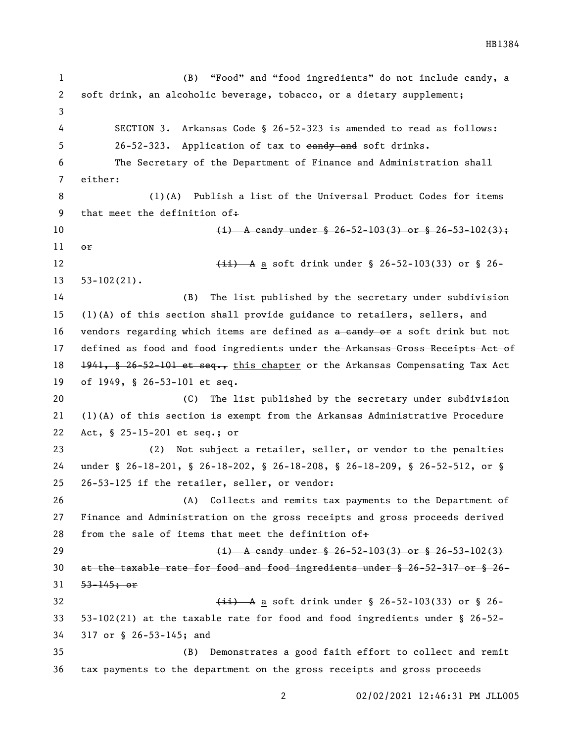1 (B) "Food" and "food ingredients" do not include eandy, a soft drink, an alcoholic beverage, tobacco, or a dietary supplement; SECTION 3. Arkansas Code § 26-52-323 is amended to read as follows: 5 26-52-323. Application of tax to eandy and soft drinks. The Secretary of the Department of Finance and Administration shall either: (1)(A) Publish a list of the Universal Product Codes for items 9 that meet the definition of. 10 (i) A candy under  $\frac{1}{2}$  26-52-103(3) or § 26-53-102(3); or 12 (ii) A a soft drink under § 26-52-103(33) or § 26- 53-102(21). (B) The list published by the secretary under subdivision (1)(A) of this section shall provide guidance to retailers, sellers, and 16 vendors regarding which items are defined as a candy or a soft drink but not 17 defined as food and food ingredients under the Arkansas Gross Receipts Act of 18 <del>1941, § 26-52-101 et seq.,</del> this chapter or the Arkansas Compensating Tax Act of 1949, § 26-53-101 et seq. (C) The list published by the secretary under subdivision (1)(A) of this section is exempt from the Arkansas Administrative Procedure Act, § 25-15-201 et seq.; or (2) Not subject a retailer, seller, or vendor to the penalties under § 26-18-201, § 26-18-202, § 26-18-208, § 26-18-209, § 26-52-512, or § 26-53-125 if the retailer, seller, or vendor: (A) Collects and remits tax payments to the Department of Finance and Administration on the gross receipts and gross proceeds derived 28 from the sale of items that meet the definition of $\div$  (i) A candy under § 26-52-103(3) or § 26-53-102(3) at the taxable rate for food and food ingredients under § 26-52-317 or § 26- 53-145; or 32 (ii) A a soft drink under  $\S$  26-52-103(33) or  $\S$  26- 53-102(21) at the taxable rate for food and food ingredients under § 26-52- 317 or § 26-53-145; and (B) Demonstrates a good faith effort to collect and remit tax payments to the department on the gross receipts and gross proceeds